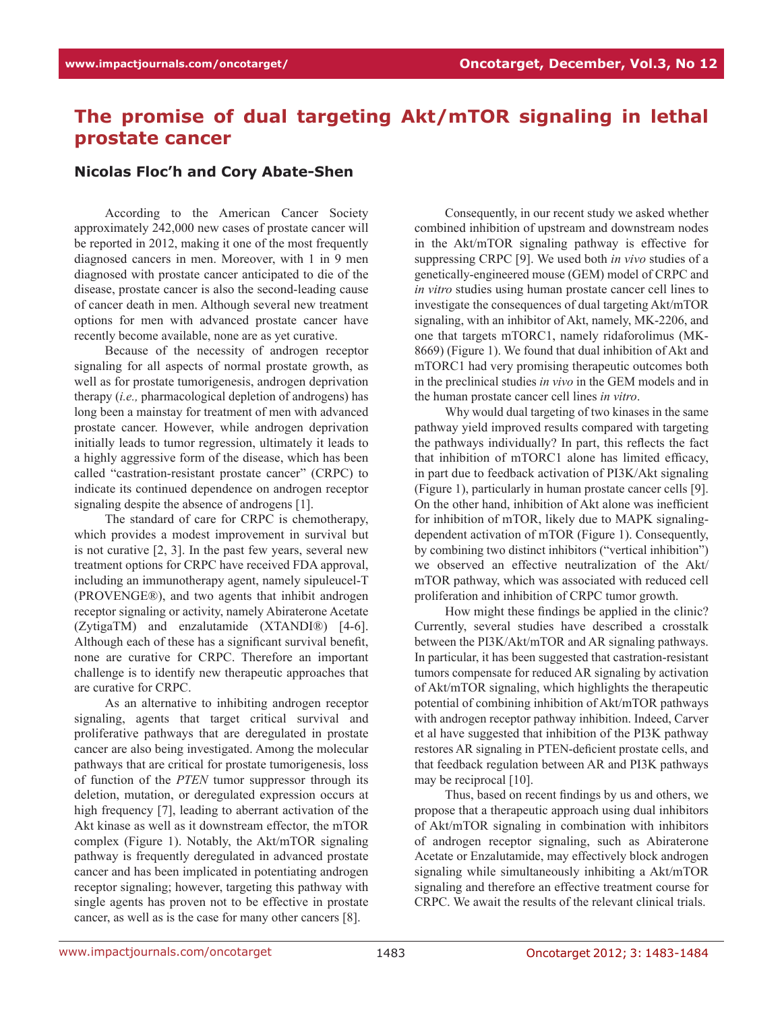## **The promise of dual targeting Akt/mTOR signaling in lethal prostate cancer**

## **Nicolas Floc'h and Cory Abate-Shen**

According to the American Cancer Society approximately 242,000 new cases of prostate cancer will be reported in 2012, making it one of the most frequently diagnosed cancers in men. Moreover, with 1 in 9 men diagnosed with prostate cancer anticipated to die of the disease, prostate cancer is also the second-leading cause of cancer death in men. Although several new treatment options for men with advanced prostate cancer have recently become available, none are as yet curative.

Because of the necessity of androgen receptor signaling for all aspects of normal prostate growth, as well as for prostate tumorigenesis, androgen deprivation therapy (*i.e.,* pharmacological depletion of androgens) has long been a mainstay for treatment of men with advanced prostate cancer. However, while androgen deprivation initially leads to tumor regression, ultimately it leads to a highly aggressive form of the disease, which has been called "castration-resistant prostate cancer" (CRPC) to indicate its continued dependence on androgen receptor signaling despite the absence of androgens [1].

The standard of care for CRPC is chemotherapy, which provides a modest improvement in survival but is not curative [2, 3]. In the past few years, several new treatment options for CRPC have received FDA approval, including an immunotherapy agent, namely sipuleucel-T (PROVENGE®), and two agents that inhibit androgen receptor signaling or activity, namely Abiraterone Acetate (ZytigaTM) and enzalutamide (XTANDI®) [4-6]. Although each of these has a significant survival benefit, none are curative for CRPC. Therefore an important challenge is to identify new therapeutic approaches that are curative for CRPC.

As an alternative to inhibiting androgen receptor signaling, agents that target critical survival and proliferative pathways that are deregulated in prostate cancer are also being investigated. Among the molecular pathways that are critical for prostate tumorigenesis, loss of function of the *PTEN* tumor suppressor through its deletion, mutation, or deregulated expression occurs at high frequency [7], leading to aberrant activation of the Akt kinase as well as it downstream effector, the mTOR complex (Figure 1). Notably, the Akt/mTOR signaling pathway is frequently deregulated in advanced prostate cancer and has been implicated in potentiating androgen receptor signaling; however, targeting this pathway with single agents has proven not to be effective in prostate cancer, as well as is the case for many other cancers [8].

Consequently, in our recent study we asked whether combined inhibition of upstream and downstream nodes in the Akt/mTOR signaling pathway is effective for suppressing CRPC [9]. We used both *in vivo* studies of a genetically-engineered mouse (GEM) model of CRPC and *in vitro* studies using human prostate cancer cell lines to investigate the consequences of dual targeting Akt/mTOR signaling, with an inhibitor of Akt, namely, MK-2206, and one that targets mTORC1, namely ridaforolimus (MK-8669) (Figure 1). We found that dual inhibition of Akt and mTORC1 had very promising therapeutic outcomes both in the preclinical studies *in vivo* in the GEM models and in the human prostate cancer cell lines *in vitro*.

Why would dual targeting of two kinases in the same pathway yield improved results compared with targeting the pathways individually? In part, this reflects the fact that inhibition of mTORC1 alone has limited efficacy, in part due to feedback activation of PI3K/Akt signaling (Figure 1), particularly in human prostate cancer cells [9]. On the other hand, inhibition of Akt alone was inefficient for inhibition of mTOR, likely due to MAPK signalingdependent activation of mTOR (Figure 1). Consequently, by combining two distinct inhibitors ("vertical inhibition") we observed an effective neutralization of the Akt/ mTOR pathway, which was associated with reduced cell proliferation and inhibition of CRPC tumor growth.

How might these findings be applied in the clinic? Currently, several studies have described a crosstalk between the PI3K/Akt/mTOR and AR signaling pathways. In particular, it has been suggested that castration-resistant tumors compensate for reduced AR signaling by activation of Akt/mTOR signaling, which highlights the therapeutic potential of combining inhibition of Akt/mTOR pathways with androgen receptor pathway inhibition. Indeed, Carver et al have suggested that inhibition of the PI3K pathway restores AR signaling in PTEN-deficient prostate cells, and that feedback regulation between AR and PI3K pathways may be reciprocal [10].

Thus, based on recent findings by us and others, we propose that a therapeutic approach using dual inhibitors of Akt/mTOR signaling in combination with inhibitors of androgen receptor signaling, such as Abiraterone Acetate or Enzalutamide, may effectively block androgen signaling while simultaneously inhibiting a Akt/mTOR signaling and therefore an effective treatment course for CRPC. We await the results of the relevant clinical trials.